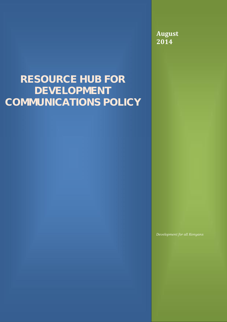**August 2014**

# **RESOURCE HUB FOR DEVELOPMENT COMMUNICATIONS POLICY**

*Development for all Kenyans*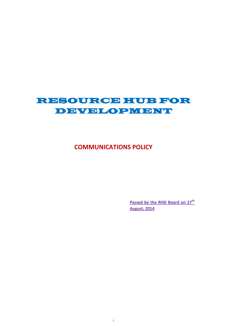## **RESOURCE HUB FOR DEVELOPMENT**

### **COMMUNICATIONS POLICY**

1

**Passed by the RHD Board on 27th August, 2014**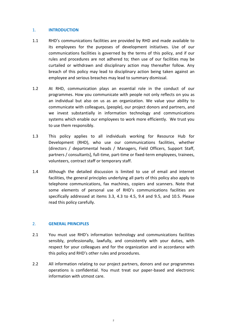#### 1. **INTRODUCTION**

- 1.1 RHD's communications facilities are provided by RHD and made available to its employees for the purposes of development initiatives. Use of our communications facilities is governed by the terms of this policy, and if our rules and procedures are not adhered to; then use of our facilities may be curtailed or withdrawn and disciplinary action may thereafter follow. Any breach of this policy may lead to disciplinary action being taken against an employee and serious breaches may lead to summary dismissal.
- 1.2 At RHD, communication plays an essential role in the conduct of our programmes. How you communicate with people not only reflects on you as an individual but also on us as an organization. We value your ability to communicate with colleagues, (people), our project donors and partners, and we invest substantially in information technology and communications systems which enable our employees to work more efficiently. We trust you to use them responsibly.
- 1.3 This policy applies to all individuals working for Resource Hub for Development (RHD), who use our communications facilities, whether (directors / departmental heads / Managers, Field Officers, Support Staff, partners / consultants], full-time, part-time or fixed-term employees, trainees, volunteers, contract staff or temporary staff.
- 1.4 Although the detailed discussion is limited to use of email and internet facilities, the general principles underlying all parts of this policy also apply to telephone communications, fax machines, copiers and scanners. Note that some elements of personal use of RHD's communications facilities are specifically addressed at items 3.3, 4.3 to 4.5, 9.4 and 9.5, and 10.5. Please read this policy carefully.

#### 2. **GENERAL PRINCIPLES**

- 2.1 You must use RHD's information technology and communications facilities sensibly, professionally, lawfully, and consistently with your duties, with respect for your colleagues and for the organization and in accordance with this policy and RHD's other rules and procedures.
- 2.2 All information relating to our project partners, donors and our programmes operations is confidential. You must treat our paper-based and electronic information with utmost care.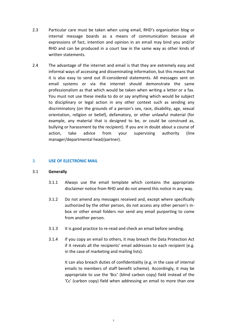- 2.3 Particular care must be taken when using email, RHD's organization blog or internal message boards as a means of communication because all expressions of fact, intention and opinion in an email may bind you and/or RHD and can be produced in a court law in the same way as other kinds of written statements.
- 2.4 The advantage of the internet and email is that they are extremely easy and informal ways of accessing and disseminating information, but this means that it is also easy to send out ill-considered statements. All messages sent on email systems or via the internet should demonstrate the same professionalism as that which would be taken when writing a letter or a fax. You must not use these media to do or say anything which would be subject to disciplinary or legal action in any other context such as sending any discriminatory (on the grounds of a person's sex, race, disability, age, sexual orientation, religion or belief), defamatory, or other unlawful material (for example, any material that is designed to be, or could be construed as, bullying or harassment by the recipient). If you are in doubt about a course of action, take advice from your supervising authority (line manager/departmental head/partner).

#### 3. **USE OF ELECTRONIC MAIL**

#### 3.1 **Generally**

- 3.1.1 Always use the email template which contains the appropriate disclaimer notice from RHD and do not amend this notice in any way.
- 3.1.2 Do not amend any messages received and, except where specifically authorized by the other person, do not access any other person's in box or other email folders nor send any email purporting to come from another person.
- 3.1.3 It is good practice to re-read and check an email before sending.
- 3.1.4 If you copy an email to others, it may breach the Data Protection Act if it reveals all the recipients' email addresses to each recipient (e.g. in the case of marketing and mailing lists).

It can also breach duties of confidentiality (e.g. in the case of internal emails to members of staff benefit scheme). Accordingly, it may be appropriate to use the 'Bcc' (blind carbon copy) field instead of the 'Cc' (carbon copy) field when addressing an email to more than one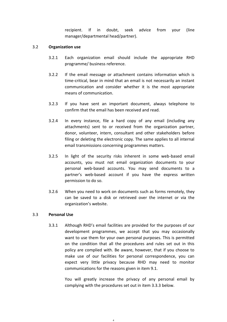recipient. If in doubt, seek advice from your (line manager/departmental head/partner).

#### 3.2 **Organization use**

- 3.2.1 Each organization email should include the appropriate RHD programme/ business reference.
- 3.2.2 If the email message or attachment contains information which is time-critical, bear in mind that an email is not necessarily an instant communication and consider whether it is the most appropriate means of communication.
- 3.2.3 If you have sent an important document, always telephone to confirm that the email has been received and read.
- 3.2.4 In every instance, file a hard copy of any email (including any attachments) sent to or received from the organization partner, donor, volunteer, intern, consultant and other stakeholders before filing or deleting the electronic copy. The same applies to all internal email transmissions concerning programmes matters.
- 3.2.5 In light of the security risks inherent in some web-based email accounts, you must not email organization documents to your personal web-based accounts. You may send documents to a partner's web-based account if you have the express written permission to do so.
- 3.2.6 When you need to work on documents such as forms remotely, they can be saved to a disk or retrieved over the internet or via the organization's website.

#### 3.3 **Personal Use**

3.3.1 Although RHD's email facilities are provided for the purposes of our development programmes, we accept that you may occasionally want to use them for your own personal purposes. This is permitted on the condition that all the procedures and rules set out in this policy are complied with. Be aware, however, that if you choose to make use of our facilities for personal correspondence, you can expect very little privacy because RHD may need to monitor communications for the reasons given in item 9.1.

> You will greatly increase the privacy of any personal email by complying with the procedures set out in item 3.3.3 below.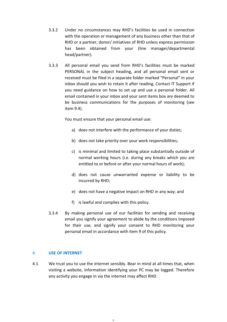- 3.3.2 Under no circumstances may RHD's facilities be used in connection with the operation or management of any business other than that of RHD or a partner, donor/ initiatives of RHD unless express permission has been obtained from your (line manager/departmental head/partner).
- 3.3.3 All personal email you send from RHD's facilities must be marked PERSONAL in the subject heading, and all personal email sent or received must be filed in a separate folder marked "Personal" in your inbox should you wish to retain it after reading. Contact IT Support if you need guidance on how to set up and use a personal folder. All email contained in your inbox and your sent items box are deemed to be business communications for the purposes of monitoring (see item 9.4).

You must ensure that your personal email use:

- a) does not interfere with the performance of your duties;
- b) does not take priority over your work responsibilities;
- c) is minimal and limited to taking place substantially outside of normal working hours (i.e. during any breaks which you are entitled to or before or after your normal hours of work);
- d) does not cause unwarranted expense or liability to be incurred by RHD;
- e) does not have a negative impact on RHD in any way; and
- f) is lawful and complies with this policy.
- 3.3.4 By making personal use of our facilities for sending and receiving email you signify your agreement to abide by the conditions imposed for their use, and signify your consent to RHD monitoring your personal email in accordance with item 9 of this policy.

#### 4. **USE OF INTERNET**

4.1 We trust you to use the internet sensibly. Bear in mind at all times that, when visiting a website, information identifying your PC may be logged. Therefore any activity you engage in via the internet may affect RHD.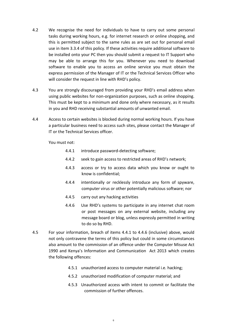- 4.2 We recognise the need for individuals to have to carry out some personal tasks during working hours, e.g. for internet research or online shopping, and this is permitted subject to the same rules as are set out for personal email use in item 3.3.4 of this policy. If these activities require additional software to be installed onto your PC then you should submit a request to IT Support who may be able to arrange this for you. Whenever you need to download software to enable you to access an online service you must obtain the express permission of the Manager of IT or the Technical Services Officer who will consider the request in line with RHD's policy.
- 4.3 You are strongly discouraged from providing your RHD's email address when using public websites for non-organization purposes, such as online shopping. This must be kept to a minimum and done only where necessary, as it results in you and RHD receiving substantial amounts of unwanted email.
- 4.4 Access to certain websites is blocked during normal working hours. If you have a particular business need to access such sites, please contact the Manager of IT or the Technical Services officer.

You must not:

- 4.4.1 introduce password-detecting software;
- 4.4.2 seek to gain access to restricted areas of RHD's network;
- 4.4.3 access or try to access data which you know or ought to know is confidential;
- 4.4.4 intentionally or recklessly introduce any form of spyware, computer virus or other potentially malicious software; nor
- 4.4.5 carry out any hacking activities
- 4.4.6 Use RHD's systems to participate in any internet chat room or post messages on any external website, including any message board or blog, unless expressly permitted in writing to do so by RHD.
- 4.5 For your information, breach of items 4.4.1 to 4.4.6 (inclusive) above, would not only contravene the terms of this policy but could in some circumstances also amount to the commission of an offence under the Computer Misuse Act 1990 and Kenya's Information and Communication Act 2013 which creates the following offences:
	- 4.5.1 unauthorized access to computer material i.e. hacking;
	- 4.5.2 unauthorized modification of computer material; and
	- 4.5.3 Unauthorized access with intent to commit or facilitate the commission of further offences.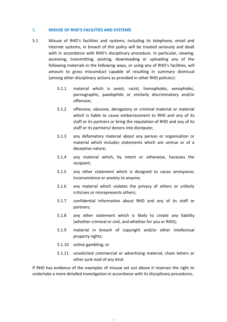#### 5. **MISUSE OF RHD'S FACILITIES AND SYSTEMS**

- 5.1 Misuse of RHD's facilities and systems, including its telephone, email and internet systems, in breach of this policy will be treated seriously and dealt with in accordance with RHD's disciplinary procedure. In particular, viewing, accessing, transmitting, posting, downloading or uploading any of the following materials in the following ways, or using any of RHD's facilities, will amount to gross misconduct capable of resulting in summary dismissal (among other disciplinary actions as provided in other RHD policies):
	- 5.1.1 material which is sexist, racist, homophobic, xenophobic, pornographic, paedophilic or similarly discriminatory and/or offensive;
	- 5.1.2 offensive, obscene, derogatory or criminal material or material which is liable to cause embarrassment to RHD and any of its staff or its partners or bring the reputation of RHD and any of its staff or its partners/ donors into disrepute;
	- 5.1.3 any defamatory material about any person or organisation or material which includes statements which are untrue or of a deceptive nature;
	- 5.1.4 any material which, by intent or otherwise, harasses the recipient;
	- 5.1.5 any other statement which is designed to cause annoyance, inconvenience or anxiety to anyone;
	- 5.1.6 any material which violates the privacy of others or unfairly criticises or misrepresents others;
	- 5.1.7 confidential information about RHD and any of its staff or partners;
	- 5.1.8 any other statement which is likely to create any liability (whether criminal or civil, and whether for you or RHD);
	- 5.1.9 material in breach of copyright and/or other intellectual property rights;
	- 5.1.10 online gambling; or
	- 5.1.11 unsolicited commercial or advertising material, chain letters or other junk mail of any kind.

If RHD has evidence of the examples of misuse set out above it reserves the right to undertake a more detailed investigation in accordance with its disciplinary procedures.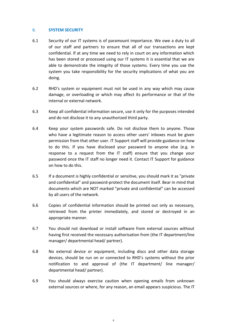#### 6. **SYSTEM SECURITY**

- 6.1 Security of our IT systems is of paramount importance. We owe a duty to all of our staff and partners to ensure that all of our transactions are kept confidential. If at any time we need to rely in court on any information which has been stored or processed using our IT systems it is essential that we are able to demonstrate the integrity of those systems. Every time you use the system you take responsibility for the security implications of what you are doing.
- 6.2 RHD's system or equipment must not be used in any way which may cause damage, or overloading or which may affect its performance or that of the internal or external network.
- 6.3 Keep all confidential information secure, use it only for the purposes intended and do not disclose it to any unauthorized third party.
- 6.4 Keep your system passwords safe. Do not disclose them to anyone. Those who have a legitimate reason to access other users' inboxes must be given permission from that other user. IT Support staff will provide guidance on how to do this. If you have disclosed your password to anyone else (e.g. in response to a request from the IT staff) ensure that you change your password once the IT staff no longer need it. Contact IT Support for guidance on how to do this.
- 6.5 If a document is highly confidential or sensitive, you should mark it as "private and confidential" and password-protect the document itself. Bear in mind that documents which are NOT marked "private and confidential" can be accessed by all users of the network.
- 6.6 Copies of confidential information should be printed out only as necessary, retrieved from the printer immediately, and stored or destroyed in an appropriate manner.
- 6.7 You should not download or install software from external sources without having first received the necessary authorisation from (the IT department/line manager/ departmental head/ partner).
- 6.8 No external device or equipment, including discs and other data storage devices, should be run on or connected to RHD's systems without the prior notification to and approval of (the IT department/ line manager/ departmental head/ partner).
- 6.9 You should always exercise caution when opening emails from unknown external sources or where, for any reason, an email appears suspicious. The IT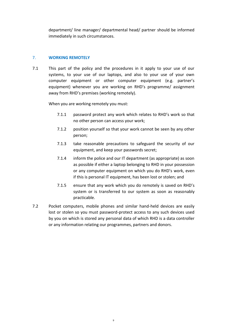department/ line manager/ departmental head/ partner should be informed immediately in such circumstances.

#### 7. **WORKING REMOTELY**

7.1 This part of the policy and the procedures in it apply to your use of our systems, to your use of our laptops, and also to your use of your own computer equipment or other computer equipment (e.g. partner's equipment) whenever you are working on RHD's programme/ assignment away from RHD's premises (working remotely).

When you are working remotely you must:

- 7.1.1 password protect any work which relates to RHD's work so that no other person can access your work;
- 7.1.2 position yourself so that your work cannot be seen by any other person;
- 7.1.3 take reasonable precautions to safeguard the security of our equipment, and keep your passwords secret;
- 7.1.4 inform the police and our IT department (as appropriate) as soon as possible if either a laptop belonging to RHD in your possession or any computer equipment on which you do RHD's work, even if this is personal IT equipment, has been lost or stolen; and
- 7.1.5 ensure that any work which you do remotely is saved on RHD's system or is transferred to our system as soon as reasonably practicable.
- 7.2 Pocket computers, mobile phones and similar hand-held devices are easily lost or stolen so you must password-protect access to any such devices used by you on which is stored any personal data of which RHD is a data controller or any information relating our programmes, partners and donors.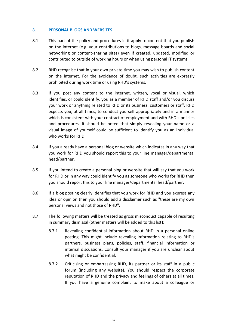#### 8. **PERSONAL BLOGS AND WEBSITES**

- 8.1 This part of the policy and procedures in it apply to content that you publish on the internet (e.g. your contributions to blogs, message boards and social networking or content-sharing sites) even if created, updated, modified or contributed to outside of working hours or when using personal IT systems.
- 8.2 RHD recognise that in your own private time you may wish to publish content on the internet. For the avoidance of doubt, such activities are expressly prohibited during work time or using RHD's systems.
- 8.3 If you post any content to the internet, written, vocal or visual, which identifies, or could identify, you as a member of RHD staff and/or you discuss your work or anything related to RHD or its business, customers or staff, RHD expects you, at all times, to conduct yourself appropriately and in a manner which is consistent with your contract of employment and with RHD's policies and procedures. It should be noted that simply revealing your name or a visual image of yourself could be sufficient to identify you as an individual who works for RHD.
- 8.4 If you already have a personal blog or website which indicates in any way that you work for RHD you should report this to your line manager/departmental head/partner.
- 8.5 If you intend to create a personal blog or website that will say that you work for RHD or in any way could identify you as someone who works for RHD then you should report this to your line manager/departmental head/partner.
- 8.6 If a blog posting clearly identifies that you work for RHD and you express any idea or opinion then you should add a disclaimer such as "these are my own personal views and not those of RHD".
- 8.7 The following matters will be treated as gross misconduct capable of resulting in summary dismissal (other matters will be added to this list):
	- 8.7.1 Revealing confidential information about RHD in a personal online posting. This might include revealing information relating to RHD's partners, business plans, policies, staff, financial information or internal discussions. Consult your manager if you are unclear about what might be confidential.
	- 8.7.2 Criticising or embarrassing RHD, its partner or its staff in a public forum (including any website). You should respect the corporate reputation of RHD and the privacy and feelings of others at all times. If you have a genuine complaint to make about a colleague or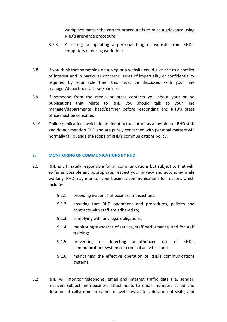workplace matter the correct procedure is to raise a grievance using RHD's grievance procedure.

- 8.7.3 Accessing or updating a personal blog or website from RHD's computers or during work time.
- 8.8 If you think that something on a blog or a website could give rise to a conflict of interest and in particular concerns issues of impartiality or confidentiality required by your role then this must be discussed with your line manager/departmental head/partner.
- 8.9 If someone from the media or press contacts you about your online publications that relate to RHD you should talk to your line manager/departmental head/partner before responding and RHD's press office must be consulted.
- 8.10 Online publications which do not identify the author as a member of RHD staff and do not mention RHD and are purely concerned with personal matters will normally fall outside the scope of RHD's communications policy.

#### 9. **MONITORING OF COMMUNICATIONS BY RHD**

- 9.1 RHD is ultimately responsible for all communications but subject to that will, so far as possible and appropriate, respect your privacy and autonomy while working. RHD may monitor your business communications for reasons which include:
	- 9.1.1 providing evidence of business transactions;
	- 9.1.2 ensuring that RHD operations and procedures, policies and contracts with staff are adhered to;
	- 9.1.3 complying with any legal obligations;
	- 9.1.4 monitoring standards of service, staff performance, and for staff training;
	- 9.1.5 preventing or detecting unauthorized use of RHD's communications systems or criminal activities; and
	- 9.1.6 maintaining the effective operation of RHD's communications systems.
- 9.2 RHD will monitor telephone, email and internet traffic data (i.e. sender, receiver, subject; non-business attachments to email, numbers called and duration of calls; domain names of websites visited, duration of visits, and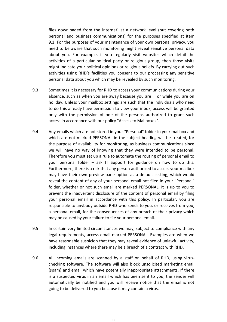files downloaded from the internet) at a network level (but covering both personal and business communications) for the purposes specified at item 9.1. For the purposes of your maintenance of your own personal privacy, you need to be aware that such monitoring might reveal sensitive personal data about you. For example, if you regularly visit websites which detail the activities of a particular political party or religious group, then those visits might indicate your political opinions or religious beliefs. By carrying out such activities using RHD's facilities you consent to our processing any sensitive personal data about you which may be revealed by such monitoring.

- 9.3 Sometimes it is necessary for RHD to access your communications during your absence, such as when you are away because you are ill or while you are on holiday. Unless your mailbox settings are such that the individuals who need to do this already have permission to view your inbox, access will be granted only with the permission of one of the persons authorized to grant such access in accordance with our policy "Access to Mailboxes".
- 9.4 Any emails which are not stored in your "Personal" folder in your mailbox and which are not marked PERSONAL in the subject heading will be treated, for the purpose of availability for monitoring, as business communications since we will have no way of knowing that they were intended to be personal. Therefore you must set up a rule to automate the routing of personal email to your personal folder – ask IT Support for guidance on how to do this. Furthermore, there is a risk that any person authorized to access your mailbox may have their own preview pane option as a default setting, which would reveal the content of any of your personal email not filed in your "Personal" folder, whether or not such email are marked PERSONAL. It is up to you to prevent the inadvertent disclosure of the content of personal email by filing your personal email in accordance with this policy. In particular, you are responsible to anybody outside RHD who sends to you, or receives from you, a personal email, for the consequences of any breach of their privacy which may be caused by your failure to file your personal email*.*
- 9.5 In certain very limited circumstances we may, subject to compliance with any legal requirements, access email marked PERSONAL. Examples are when we have reasonable suspicion that they may reveal evidence of unlawful activity, including instances where there may be a breach of a contract with RHD.
- 9.6 All incoming emails are scanned by a staff on behalf of RHD, using virus checking software. The software will also block unsolicited marketing email (spam) and email which have potentially inappropriate attachments. If there is a suspected virus in an email which has been sent to you, the sender will automatically be notified and you will receive notice that the email is not going to be delivered to you because it may contain a virus.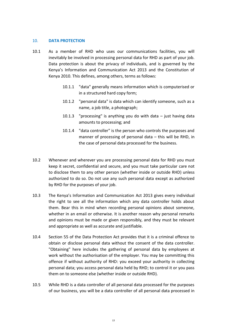#### 10. **DATA PROTECTION**

- 10.1 As a member of RHD who uses our communications facilities, you will inevitably be involved in processing personal data for RHD as part of your job. Data protection is about the privacy of individuals, and is governed by the Kenya's Information and Communication Act 2013 and the Constitution of Kenya 2010. This defines, among others, terms as follows:
	- 10.1.1 "data" generally means information which is computerised or in a structured hard copy form;
	- 10.1.2 "personal data" is data which can identify someone, such as a name, a job title, a photograph;
	- 10.1.3 "processing" is anything you do with data  $-$  just having data amounts to processing; and
	- 10.1.4 "data controller" is the person who controls the purposes and manner of processing of personal data – this will be RHD, in the case of personal data processed for the business.
- 10.2 Whenever and wherever you are processing personal data for RHD you must keep it secret, confidential and secure, and you must take particular care not to disclose them to any other person (whether inside or outside RHD) unless authorized to do so. Do not use any such personal data except as authorized by RHD for the purposes of your job.
- 10.3 The Kenya's Information and Communication Act 2013 gives every individual the right to see all the information which any data controller holds about them. Bear this in mind when recording personal opinions about someone, whether in an email or otherwise. It is another reason why personal remarks and opinions must be made or given responsibly, and they must be relevant and appropriate as well as accurate and justifiable.
- 10.4 Section 55 of the Data Protection Act provides that it is a criminal offence to obtain or disclose personal data without the consent of the data controller. "Obtaining" here includes the gathering of personal data by employees at work without the authorisation of the employer. You may be committing this offence if without authority of RHD: you exceed your authority in collecting personal data; you access personal data held by RHD; to control it or you pass them on to someone else (whether inside or outside RHD).
- 10.5 While RHD is a data controller of all personal data processed for the purposes of our business, you will be a data controller of all personal data processed in